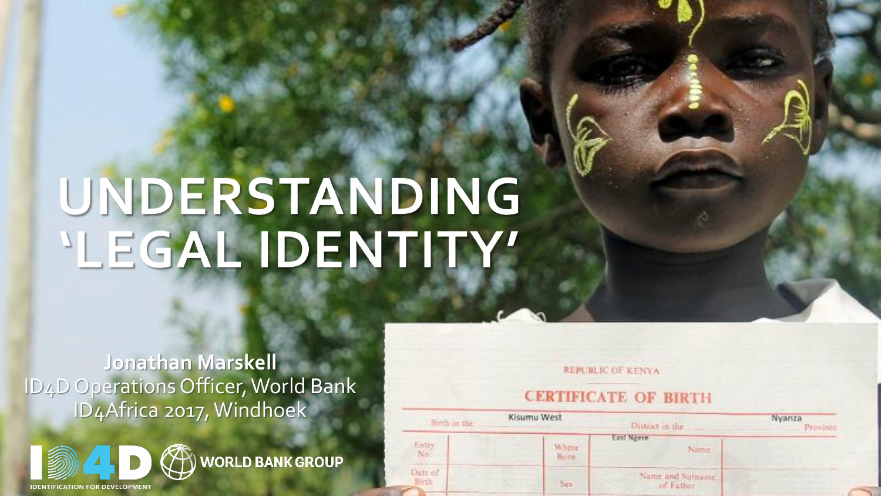## UNDERSTANDING 'LEGAL IDENTITY'

#### Jonathan Marskell ID4D Operations Officer, World Bank ID4Africa 2017, Windhoek



**REPUBLIC OF KENYA** 

#### **CERTIFICATE OF BIRTH**

| Hirth in the     | Kisumu West                                       | District in the                                                  | Nyanza<br>Province: |
|------------------|---------------------------------------------------|------------------------------------------------------------------|---------------------|
| Entry<br>No:     | <b>The Second Second</b><br><b>Where</b><br>Heirn | East Nacre<br>Name.                                              |                     |
| Date of<br>Birth | Ser                                               | the product of the product of<br>Name and Surname<br>- of Father |                     |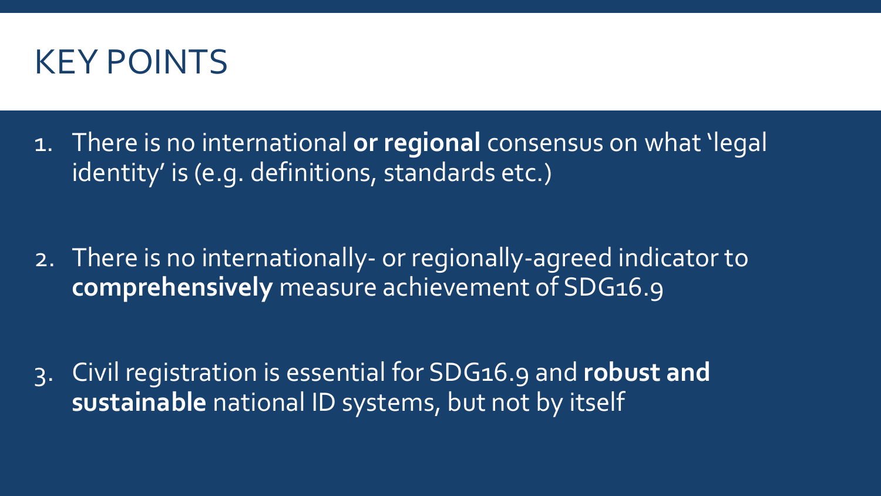

1. There is no international **or regional** consensus on what 'legal identity' is (e.g. definitions, standards etc.)

2. There is no internationally- or regionally-agreed indicator to **comprehensively** measure achievement of SDG16.9

3. Civil registration is essential for SDG16.9 and **robust and sustainable** national ID systems, but not by itself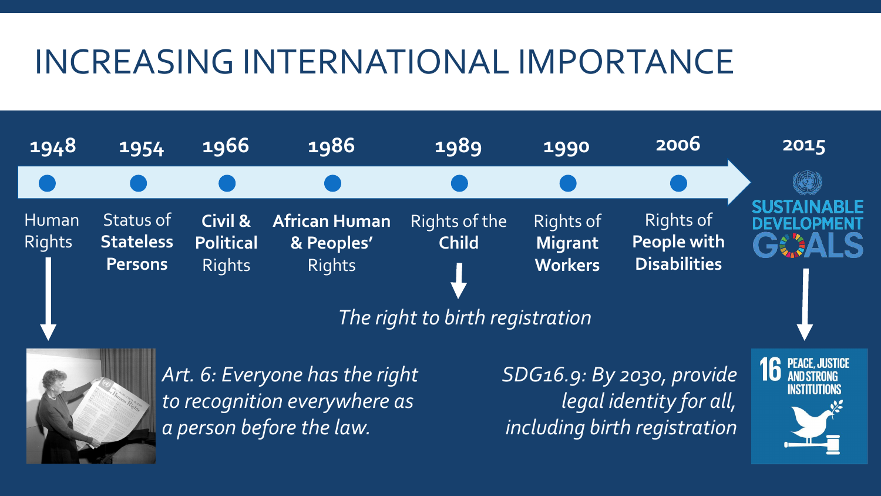## INCREASING INTERNATIONAL IMPORTANCE

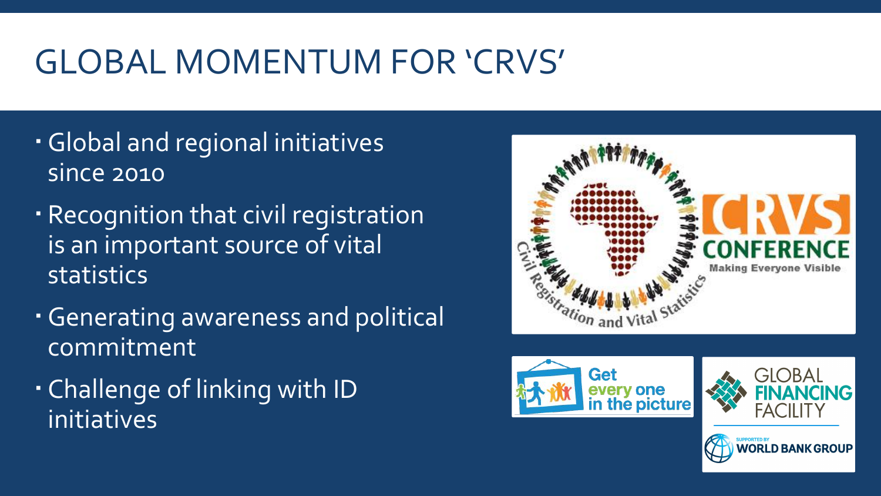## GLOBAL MOMENTUM FOR 'CRVS'

- Global and regional initiatives since 2010
- Recognition that civil registration is an important source of vital statistics
- Generating awareness and political commitment
- Challenge of linking with ID<br>
The picture of the picture of the picture of the picture of the picture of the picture initiatives





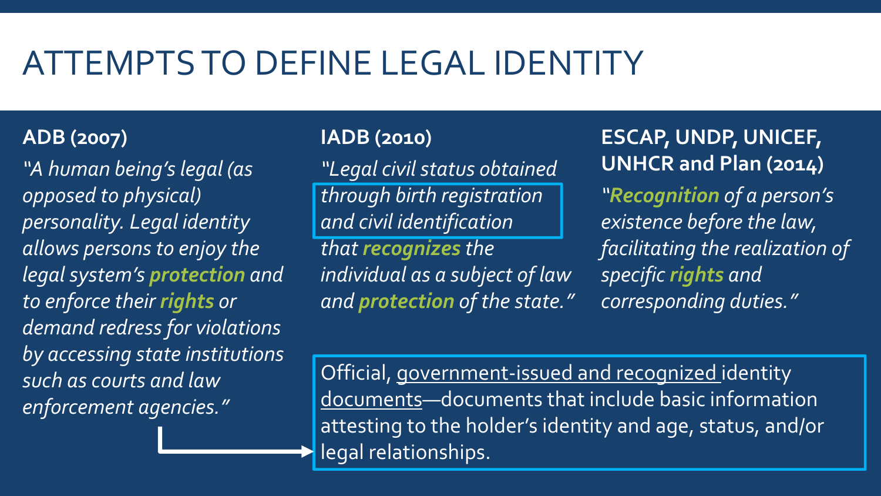## ATTEMPTSTO DEFINELEGAL IDENTITY

#### **ADB (2007)**

*"A human being's legal (as opposed to physical) personality. Legal identity allows persons to enjoy the legal system's protection and to enforce their rights or demand redress for violations by accessing state institutions such as courts and law enforcement agencies."*

#### **IADB (2010)**

*"Legal civil status obtained through birth registration and civil identification that recognizes the individual as a subject of law and protection of the state."*

**ESCAP, UNDP, UNICEF, UNHCR and Plan (2014)** *"Recognition of a person's existence before the law, facilitating the realization of specific rights and corresponding duties."*

Official, government-issued and recognized identity documents—documents that include basic information attesting to the holder's identity and age, status, and/or legal relationships.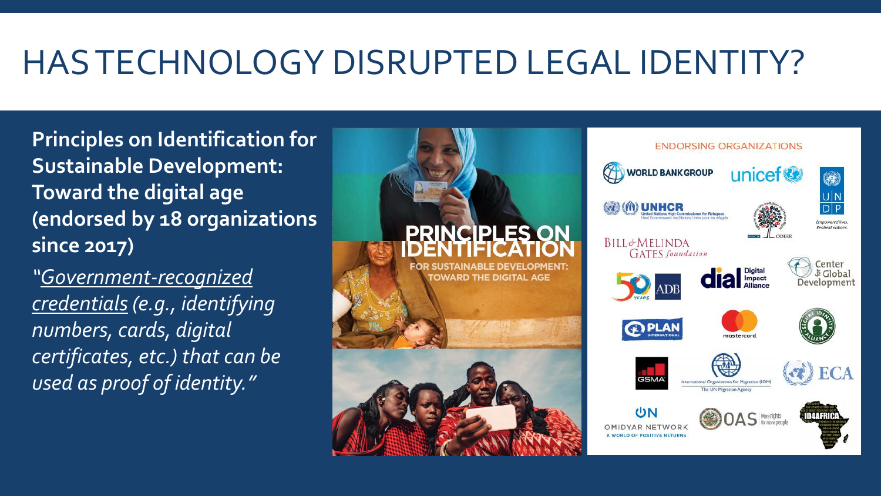## HASTECHNOLOGY DISRUPTED LEGAL IDENTITY?

**Principles on Identification for Sustainable Development: Toward the digital age (endorsed by 18 organizations since 2017)**

*credentials (e.g., identifying numbers, cards, digital certificates, etc.) that can be used as proof of identity."*

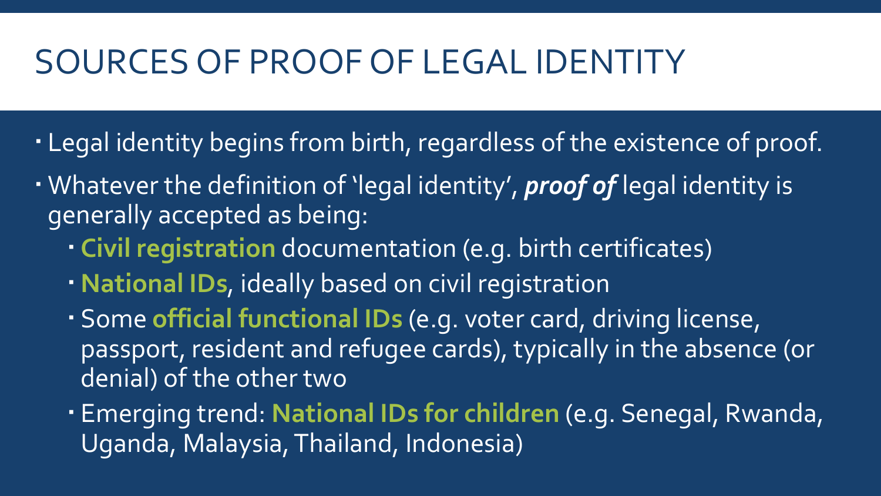#### SOURCES OF PROOF OF LEGAL IDENTITY

- . Legal identity begins from birth, regardless of the existence of proof.
- Whatever the definition of 'legal identity' , *proof of* legal identity is generally accepted as being:
	- **Civil registration** documentation (e.g. birth certificates)
	- **National IDs**, ideally based on civil registration
	- Some **official functional IDs** (e.g. voter card, driving license, passport, resident and refugee cards), typically in the absence (or denial) of the other two
	- Emerging trend: **National IDs for children** (e.g. Senegal, Rwanda, Uganda, Malaysia,Thailand, Indonesia)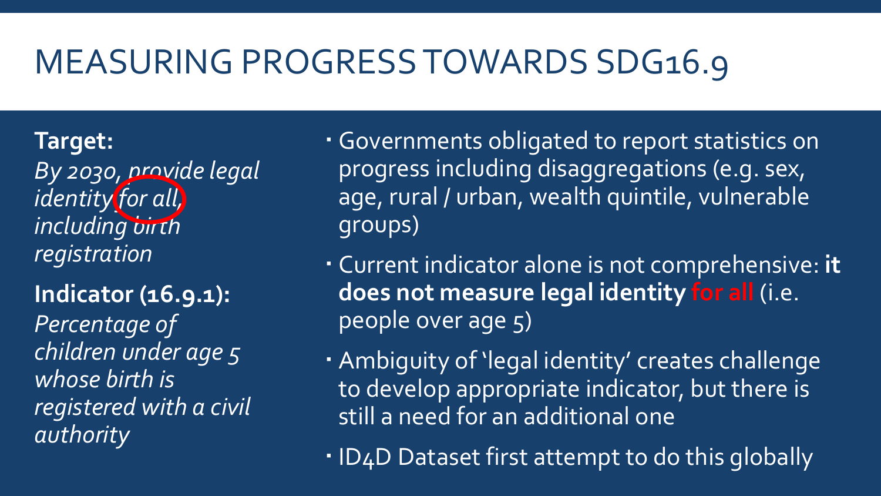## MEASURING PROGRESSTOWARDS SDG16.9

**Target:** *By 2030, provide legal identity for all, including birth registration*

**Indicator (16.9.1):** *Percentage of children under age 5 whose birth is registered with a civil authority*

- Governments obligated to report statistics on progress including disaggregations (e.g. sex, age, rural / urban, wealth quintile, vulnerable groups)
- Current indicator alone is not comprehensive: **it does not measure legal identity for all** (i.e. people over age 5)
- Ambiguity of 'legal identity' creates challenge to develop appropriate indicator, but there is still a need for an additional one
- . ID4D Dataset first attempt to do this globally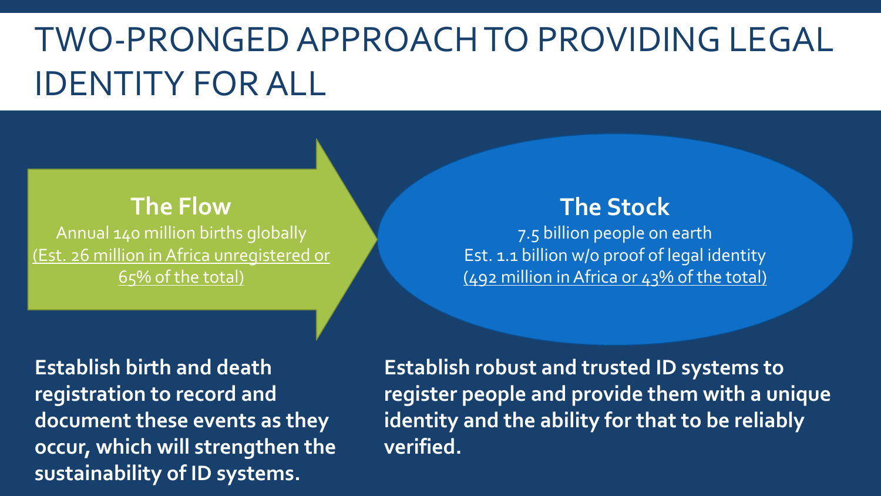## TWO-PRONGEDAPPROACHTO PROVIDING LEGAL IDENTITY FORALL

#### **The Flow** Annual 140 million births globally (Est. 26 million inAfrica unregistered or 65% of the total)

**verified. Establish birth and death occur, which will strengthen the registration to record and document these events as they sustainability of ID systems.**

#### **The Stock** 7.5 billion people on earth

Est. 1.1 billion w/o proof of legal identity (492 million inAfrica or 43% of the total)

**Establish robust and trusted ID systems to register people and provide them with a unique identity and the ability for that to be reliably**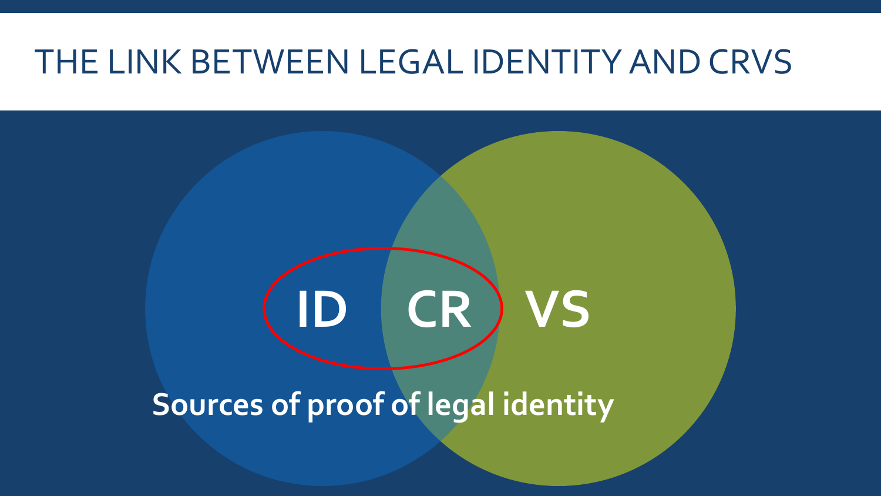#### THE LINK BETWEEN LEGAL IDENTITYANDCRVS

# **ID CR VS**

**Sources of proof of legal identity**